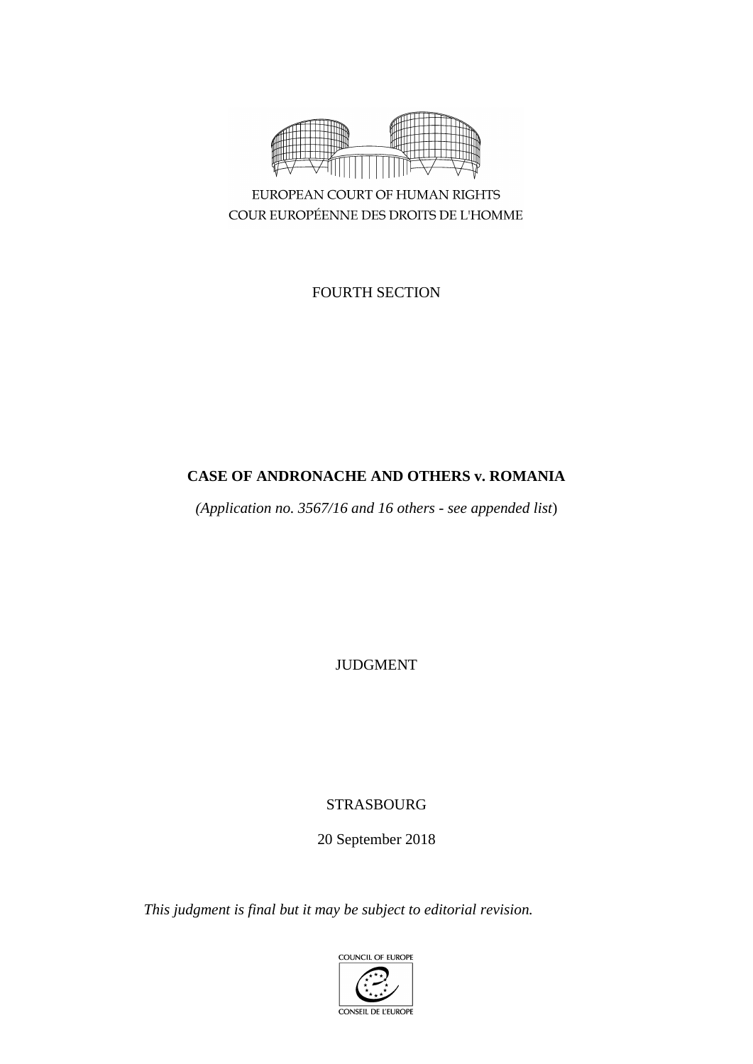

EUROPEAN COURT OF HUMAN RIGHTS COUR EUROPÉENNE DES DROITS DE L'HOMME

FOURTH SECTION

## **CASE OF ANDRONACHE AND OTHERS v. ROMANIA**

*(Application no. 3567/16 and 16 others - see appended list*)

JUDGMENT

# STRASBOURG

20 September 2018

*This judgment is final but it may be subject to editorial revision.*

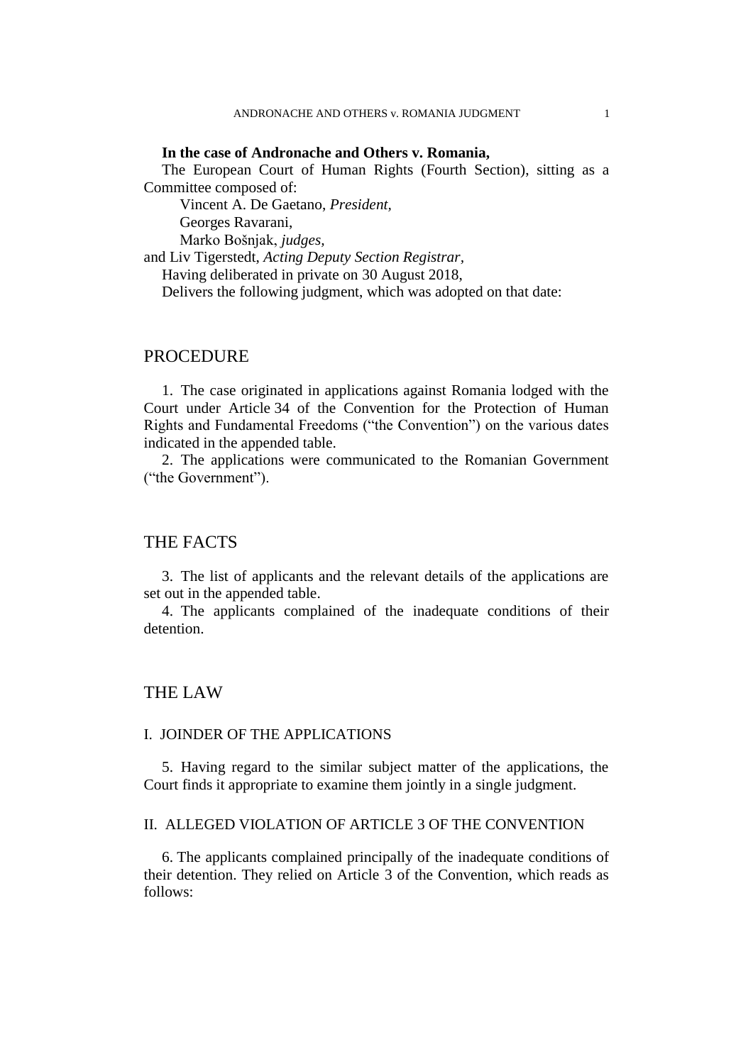### **In the case of Andronache and Others v. Romania,**

The European Court of Human Rights (Fourth Section), sitting as a Committee composed of:

Vincent A. De Gaetano, *President,* Georges Ravarani,

Marko Bošnjak, *judges,*

and Liv Tigerstedt, *Acting Deputy Section Registrar,*

Having deliberated in private on 30 August 2018,

Delivers the following judgment, which was adopted on that date:

### PROCEDURE

1. The case originated in applications against Romania lodged with the Court under Article 34 of the Convention for the Protection of Human Rights and Fundamental Freedoms ("the Convention") on the various dates indicated in the appended table.

2. The applications were communicated to the Romanian Government ("the Government").

## THE FACTS

3. The list of applicants and the relevant details of the applications are set out in the appended table.

4. The applicants complained of the inadequate conditions of their detention.

## THE LAW

#### I. JOINDER OF THE APPLICATIONS

5. Having regard to the similar subject matter of the applications, the Court finds it appropriate to examine them jointly in a single judgment.

## II. ALLEGED VIOLATION OF ARTICLE 3 OF THE CONVENTION

6. The applicants complained principally of the inadequate conditions of their detention. They relied on Article 3 of the Convention, which reads as follows: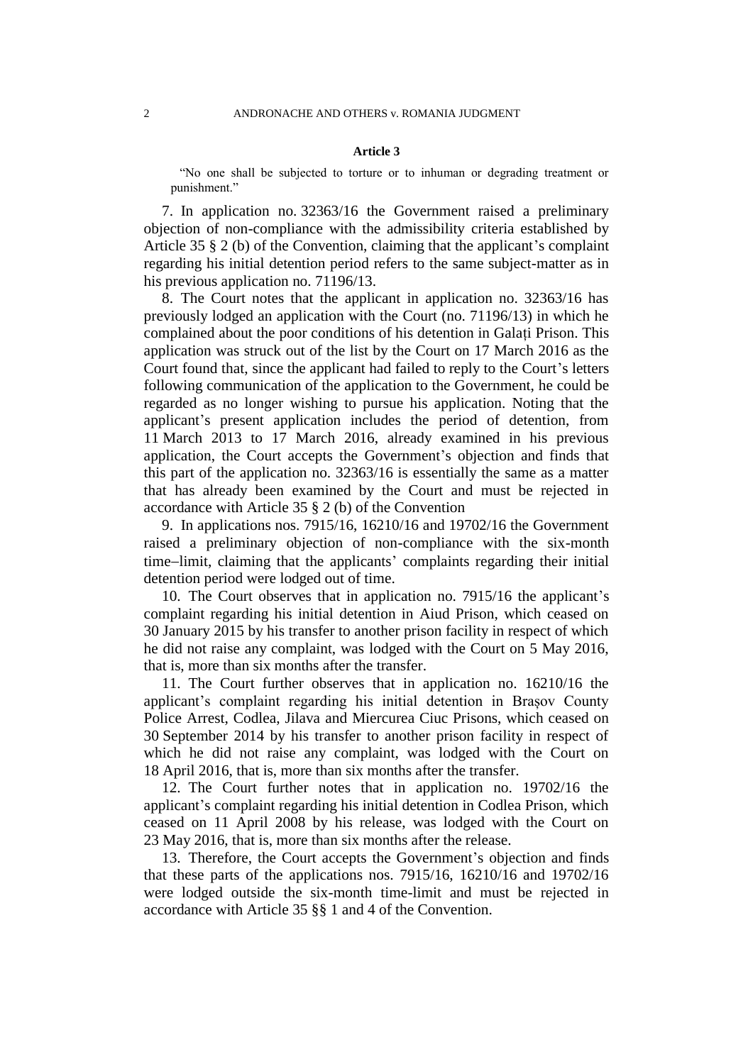#### **Article 3**

"No one shall be subjected to torture or to inhuman or degrading treatment or punishment."

7. In application no. 32363/16 the Government raised a preliminary objection of non-compliance with the admissibility criteria established by Article 35 § 2 (b) of the Convention, claiming that the applicant's complaint regarding his initial detention period refers to the same subject-matter as in his previous application no. 71196/13.

8. The Court notes that the applicant in application no. 32363/16 has previously lodged an application with the Court (no. 71196/13) in which he complained about the poor conditions of his detention in Galați Prison. This application was struck out of the list by the Court on 17 March 2016 as the Court found that, since the applicant had failed to reply to the Court's letters following communication of the application to the Government, he could be regarded as no longer wishing to pursue his application. Noting that the applicant's present application includes the period of detention, from 11 March 2013 to 17 March 2016, already examined in his previous application, the Court accepts the Government's objection and finds that this part of the application no. 32363/16 is essentially the same as a matter that has already been examined by the Court and must be rejected in accordance with Article 35 § 2 (b) of the Convention

9. In applications nos. 7915/16, 16210/16 and 19702/16 the Government raised a preliminary objection of non-compliance with the six-month time-limit, claiming that the applicants' complaints regarding their initial detention period were lodged out of time.

10. The Court observes that in application no. 7915/16 the applicant's complaint regarding his initial detention in Aiud Prison, which ceased on 30 January 2015 by his transfer to another prison facility in respect of which he did not raise any complaint, was lodged with the Court on 5 May 2016, that is, more than six months after the transfer.

11. The Court further observes that in application no. 16210/16 the applicant's complaint regarding his initial detention in Brașov County Police Arrest, Codlea, Jilava and Miercurea Ciuc Prisons, which ceased on 30 September 2014 by his transfer to another prison facility in respect of which he did not raise any complaint, was lodged with the Court on 18 April 2016, that is, more than six months after the transfer.

12. The Court further notes that in application no. 19702/16 the applicant's complaint regarding his initial detention in Codlea Prison, which ceased on 11 April 2008 by his release, was lodged with the Court on 23 May 2016, that is, more than six months after the release.

13. Therefore, the Court accepts the Government's objection and finds that these parts of the applications nos. 7915/16, 16210/16 and 19702/16 were lodged outside the six-month time-limit and must be rejected in accordance with Article 35 §§ 1 and 4 of the Convention.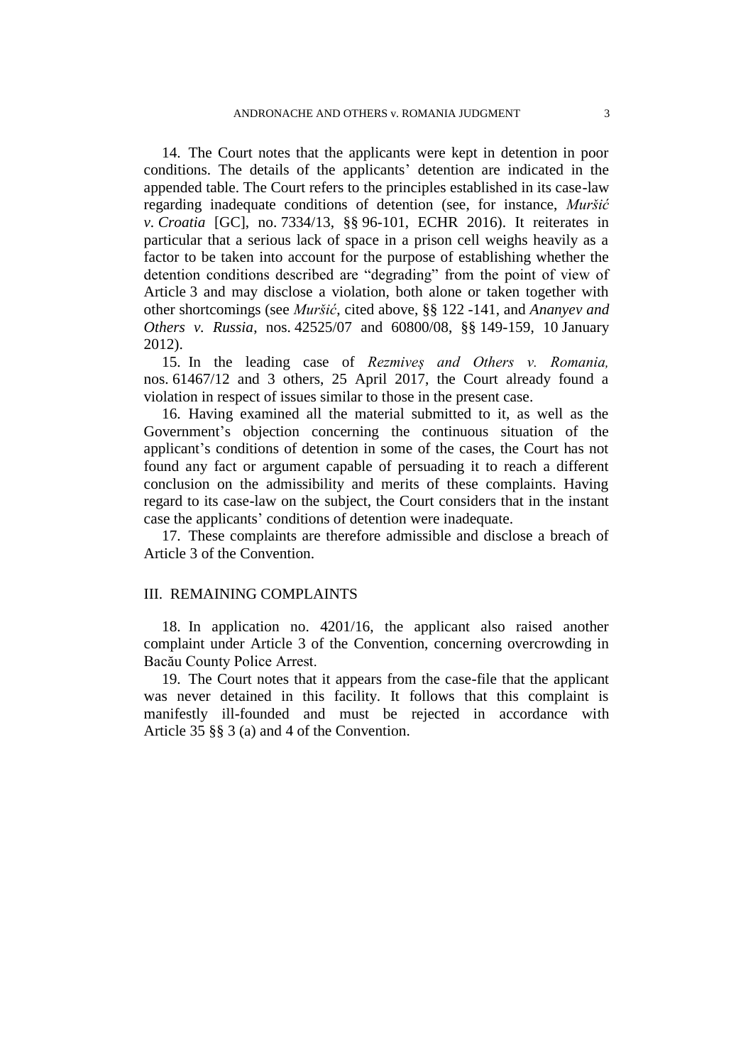14. The Court notes that the applicants were kept in detention in poor conditions. The details of the applicants' detention are indicated in the appended table. The Court refers to the principles established in its case-law regarding inadequate conditions of detention (see, for instance, *Muršić v. Croatia* [GC], no. 7334/13, §§ 96-101, ECHR 2016). It reiterates in particular that a serious lack of space in a prison cell weighs heavily as a factor to be taken into account for the purpose of establishing whether the detention conditions described are "degrading" from the point of view of Article 3 and may disclose a violation, both alone or taken together with other shortcomings (see *Muršić*, cited above, §§ 122 -141, and *Ananyev and Others v. Russia*, nos. 42525/07 and 60800/08, §§ 149-159, 10 January 2012).

15. In the leading case of *Rezmiveș and Others v. Romania,*  nos. 61467/12 and 3 others, 25 April 2017, the Court already found a violation in respect of issues similar to those in the present case.

16. Having examined all the material submitted to it, as well as the Government's objection concerning the continuous situation of the applicant's conditions of detention in some of the cases, the Court has not found any fact or argument capable of persuading it to reach a different conclusion on the admissibility and merits of these complaints. Having regard to its case-law on the subject, the Court considers that in the instant case the applicants' conditions of detention were inadequate.

17. These complaints are therefore admissible and disclose a breach of Article 3 of the Convention.

#### III. REMAINING COMPLAINTS

18. In application no. 4201/16, the applicant also raised another complaint under Article 3 of the Convention, concerning overcrowding in Bacău County Police Arrest.

19. The Court notes that it appears from the case-file that the applicant was never detained in this facility. It follows that this complaint is manifestly ill-founded and must be rejected in accordance with Article 35 §§ 3 (a) and 4 of the Convention.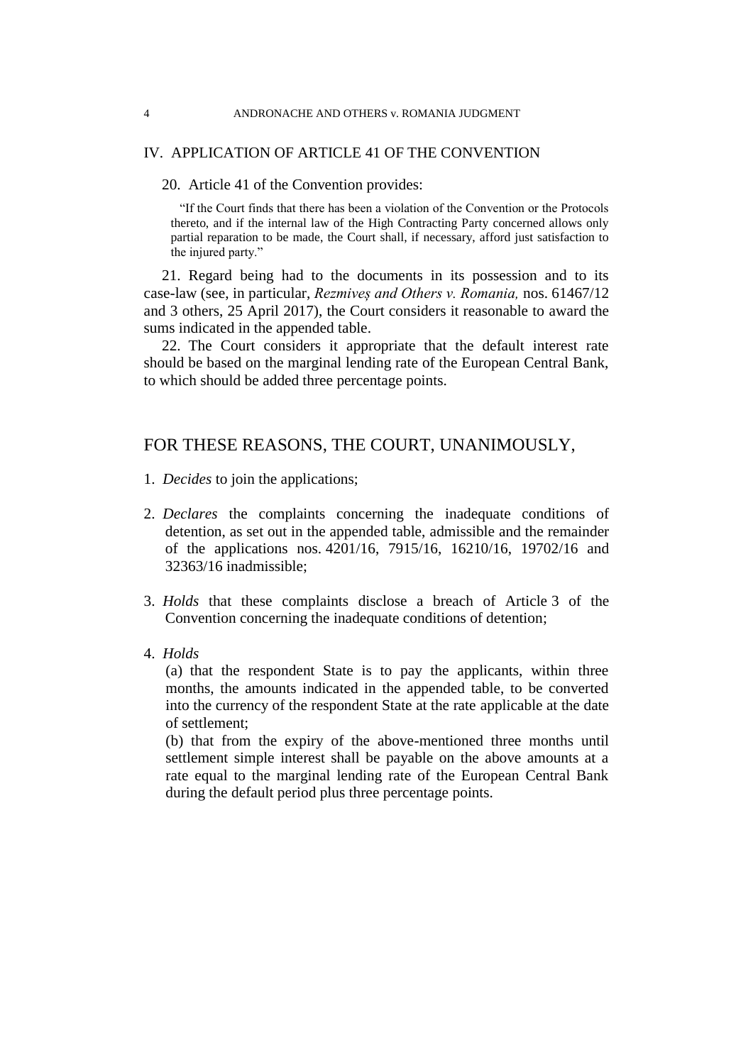### IV. APPLICATION OF ARTICLE 41 OF THE CONVENTION

20. Article 41 of the Convention provides:

"If the Court finds that there has been a violation of the Convention or the Protocols thereto, and if the internal law of the High Contracting Party concerned allows only partial reparation to be made, the Court shall, if necessary, afford just satisfaction to the injured party."

21. Regard being had to the documents in its possession and to its case-law (see, in particular, *Rezmiveș and Others v. Romania,* nos. 61467/12 and 3 others, 25 April 2017), the Court considers it reasonable to award the sums indicated in the appended table.

22. The Court considers it appropriate that the default interest rate should be based on the marginal lending rate of the European Central Bank, to which should be added three percentage points.

## FOR THESE REASONS, THE COURT, UNANIMOUSLY,

- 1. *Decides* to join the applications;
- 2. *Declares* the complaints concerning the inadequate conditions of detention, as set out in the appended table, admissible and the remainder of the applications nos. 4201/16, 7915/16, 16210/16, 19702/16 and 32363/16 inadmissible;
- 3. *Holds* that these complaints disclose a breach of Article 3 of the Convention concerning the inadequate conditions of detention;
- 4. *Holds*

(a) that the respondent State is to pay the applicants, within three months, the amounts indicated in the appended table, to be converted into the currency of the respondent State at the rate applicable at the date of settlement;

(b) that from the expiry of the above-mentioned three months until settlement simple interest shall be payable on the above amounts at a rate equal to the marginal lending rate of the European Central Bank during the default period plus three percentage points.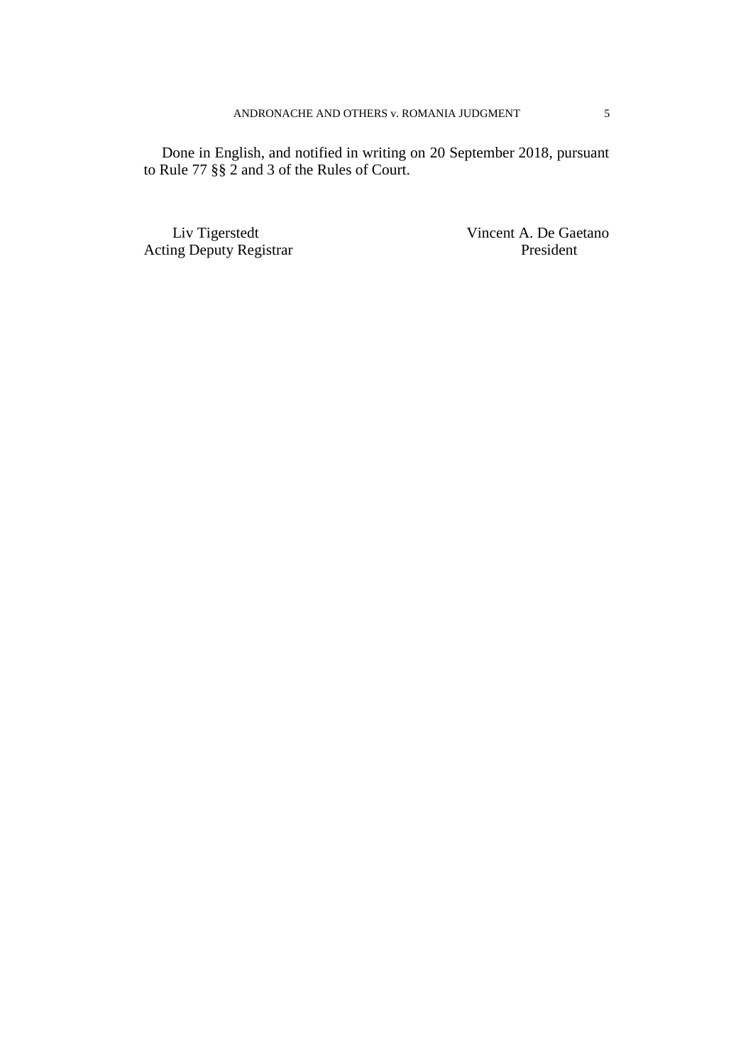Done in English, and notified in writing on 20 September 2018, pursuant to Rule 77 §§ 2 and 3 of the Rules of Court.

Acting Deputy Registrar **President** President

Liv Tigerstedt Vincent A. De Gaetano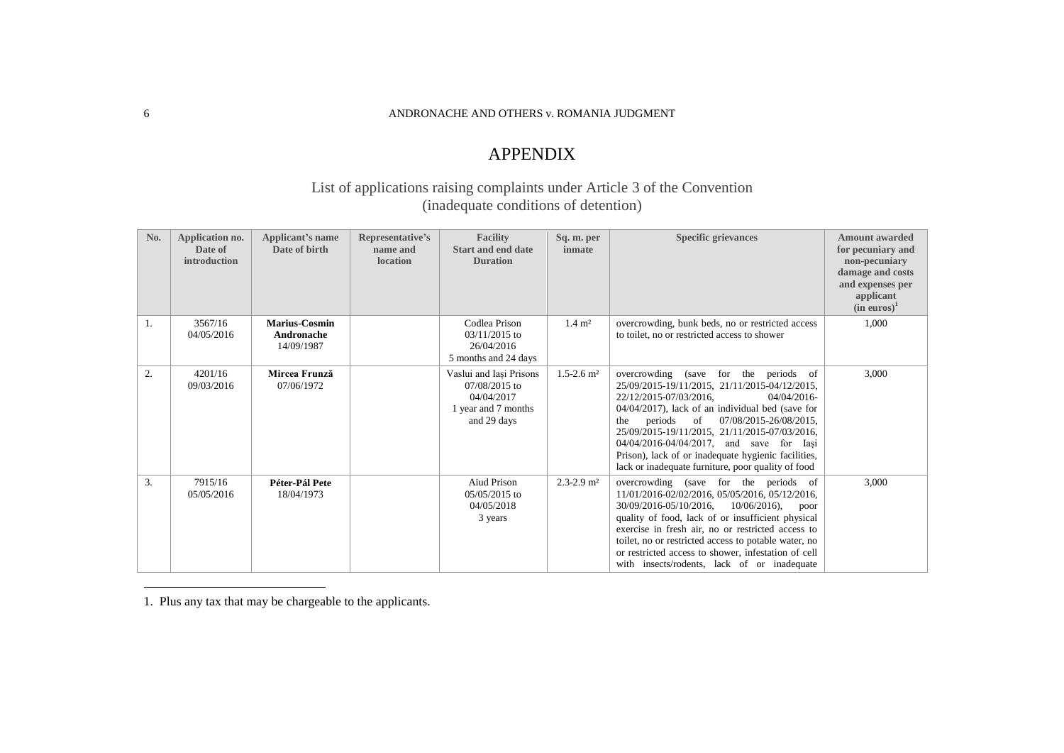#### 6 ANDRONACHE AND OTHERS v. ROMANIA JUDGMENT

# APPENDIX

## List of applications raising complaints under Article 3 of the Convention (inadequate conditions of detention)

| No. | Application no.<br>Date of<br>introduction | Applicant's name<br>Date of birth         | Representative's<br>name and<br>location | Facility<br><b>Start and end date</b><br><b>Duration</b>                                     | Sq. m. per<br>inmate       | <b>Specific grievances</b>                                                                                                                                                                                                                                                                                                                                                                                                                   | <b>Amount awarded</b><br>for pecuniary and<br>non-pecuniary<br>damage and costs<br>and expenses per<br>applicant<br>$(in \>euros)^1$ |
|-----|--------------------------------------------|-------------------------------------------|------------------------------------------|----------------------------------------------------------------------------------------------|----------------------------|----------------------------------------------------------------------------------------------------------------------------------------------------------------------------------------------------------------------------------------------------------------------------------------------------------------------------------------------------------------------------------------------------------------------------------------------|--------------------------------------------------------------------------------------------------------------------------------------|
| 1.  | 3567/16<br>04/05/2016                      | Marius-Cosmin<br>Andronache<br>14/09/1987 |                                          | Codlea Prison<br>$03/11/2015$ to<br>26/04/2016<br>5 months and 24 days                       | $1.4 \; \mathrm{m}^2$      | overcrowding, bunk beds, no or restricted access<br>to toilet, no or restricted access to shower                                                                                                                                                                                                                                                                                                                                             | 1,000                                                                                                                                |
| 2.  | 4201/16<br>09/03/2016                      | Mircea Frunză<br>07/06/1972               |                                          | Vaslui and Iași Prisons<br>07/08/2015 to<br>04/04/2017<br>1 year and 7 months<br>and 29 days | $1.5 - 2.6$ m <sup>2</sup> | overcrowding (save for the periods of<br>25/09/2015-19/11/2015, 21/11/2015-04/12/2015,<br>22/12/2015-07/03/2016.<br>04/04/2016-<br>04/04/2017), lack of an individual bed (save for<br>07/08/2015-26/08/2015,<br>periods of<br>the<br>25/09/2015-19/11/2015, 21/11/2015-07/03/2016,<br>04/04/2016-04/04/2017, and save for Iasi<br>Prison), lack of or inadequate hygienic facilities,<br>lack or inadequate furniture, poor quality of food | 3,000                                                                                                                                |
| 3.  | 7915/16<br>05/05/2016                      | Péter-Pál Pete<br>18/04/1973              |                                          | <b>Aiud Prison</b><br>$05/05/2015$ to<br>04/05/2018<br>3 years                               | $2.3 - 2.9$ m <sup>2</sup> | overcrowding (save for the periods of<br>11/01/2016-02/02/2016, 05/05/2016, 05/12/2016,<br>30/09/2016-05/10/2016.<br>$10/06/2016$ ,<br>poor<br>quality of food, lack of or insufficient physical<br>exercise in fresh air, no or restricted access to<br>toilet, no or restricted access to potable water, no<br>or restricted access to shower, infestation of cell<br>with insects/rodents, lack of or inadequate                          | 3,000                                                                                                                                |

1. Plus any tax that may be chargeable to the applicants.

 $\overline{a}$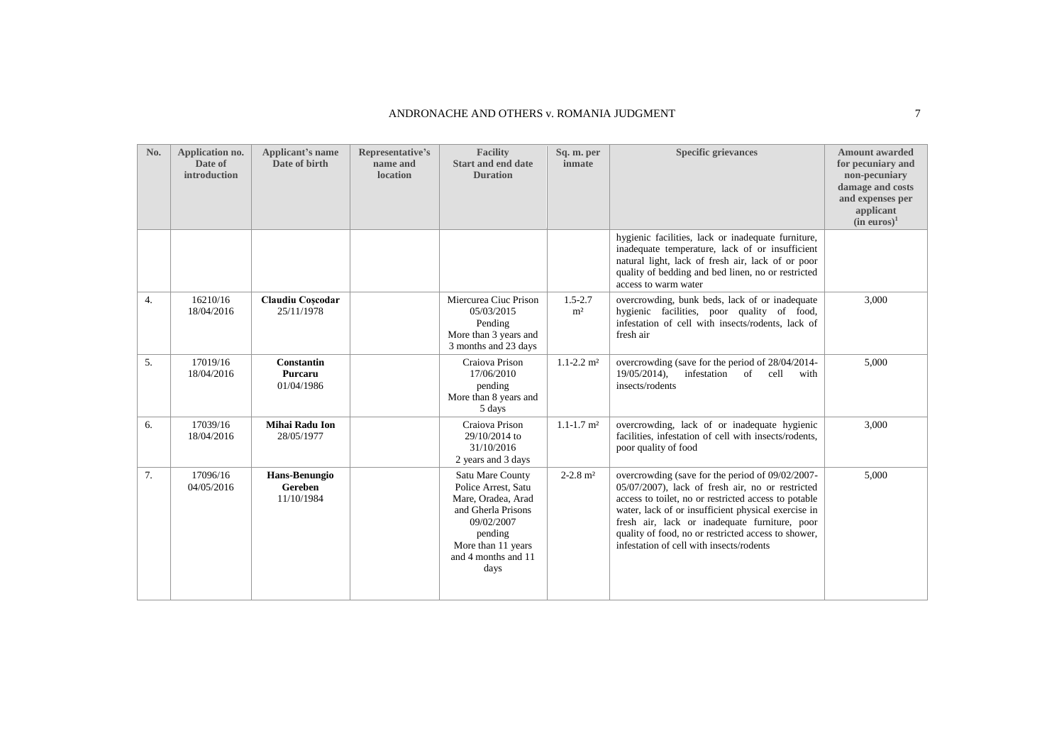| No. | Application no.<br>Date of<br>introduction | Applicant's name<br>Date of birth          | Representative's<br>name and<br>location | <b>Facility</b><br><b>Start and end date</b><br><b>Duration</b>                                                                                                   | Sq. m. per<br>inmate          | <b>Specific grievances</b>                                                                                                                                                                                                                                                                                                                                              | <b>Amount awarded</b><br>for pecuniary and<br>non-pecuniary<br>damage and costs<br>and expenses per<br>applicant<br>(in euros) <sup>1</sup> |
|-----|--------------------------------------------|--------------------------------------------|------------------------------------------|-------------------------------------------------------------------------------------------------------------------------------------------------------------------|-------------------------------|-------------------------------------------------------------------------------------------------------------------------------------------------------------------------------------------------------------------------------------------------------------------------------------------------------------------------------------------------------------------------|---------------------------------------------------------------------------------------------------------------------------------------------|
|     |                                            |                                            |                                          |                                                                                                                                                                   |                               | hygienic facilities, lack or inadequate furniture,<br>inadequate temperature, lack of or insufficient<br>natural light, lack of fresh air, lack of or poor<br>quality of bedding and bed linen, no or restricted<br>access to warm water                                                                                                                                |                                                                                                                                             |
| 4.  | 16210/16<br>18/04/2016                     | Claudiu Coscodar<br>25/11/1978             |                                          | Miercurea Ciuc Prison<br>05/03/2015<br>Pending<br>More than 3 years and<br>3 months and 23 days                                                                   | $1.5 - 2.7$<br>m <sup>2</sup> | overcrowding, bunk beds, lack of or inadequate<br>hygienic facilities, poor quality of food,<br>infestation of cell with insects/rodents, lack of<br>fresh air                                                                                                                                                                                                          | 3,000                                                                                                                                       |
| 5.  | 17019/16<br>18/04/2016                     | <b>Constantin</b><br>Purcaru<br>01/04/1986 |                                          | Craiova Prison<br>17/06/2010<br>pending<br>More than 8 years and<br>5 days                                                                                        | $1.1 - 2.2$ m <sup>2</sup>    | overcrowding (save for the period of 28/04/2014-<br>infestation<br>$19/05/2014$ ),<br><sub>of</sub><br>cell<br>with<br>insects/rodents                                                                                                                                                                                                                                  | 5,000                                                                                                                                       |
| 6.  | 17039/16<br>18/04/2016                     | Mihai Radu Ion<br>28/05/1977               |                                          | Craiova Prison<br>29/10/2014 to<br>31/10/2016<br>2 years and 3 days                                                                                               | $1.1 - 1.7$ m <sup>2</sup>    | overcrowding, lack of or inadequate hygienic<br>facilities, infestation of cell with insects/rodents,<br>poor quality of food                                                                                                                                                                                                                                           | 3,000                                                                                                                                       |
| 7.  | 17096/16<br>04/05/2016                     | Hans-Benungio<br>Gereben<br>11/10/1984     |                                          | Satu Mare County<br>Police Arrest, Satu<br>Mare, Oradea, Arad<br>and Gherla Prisons<br>09/02/2007<br>pending<br>More than 11 years<br>and 4 months and 11<br>days | $2 - 2.8$ m <sup>2</sup>      | overcrowding (save for the period of 09/02/2007-<br>05/07/2007), lack of fresh air, no or restricted<br>access to toilet, no or restricted access to potable<br>water, lack of or insufficient physical exercise in<br>fresh air, lack or inadequate furniture, poor<br>quality of food, no or restricted access to shower,<br>infestation of cell with insects/rodents | 5,000                                                                                                                                       |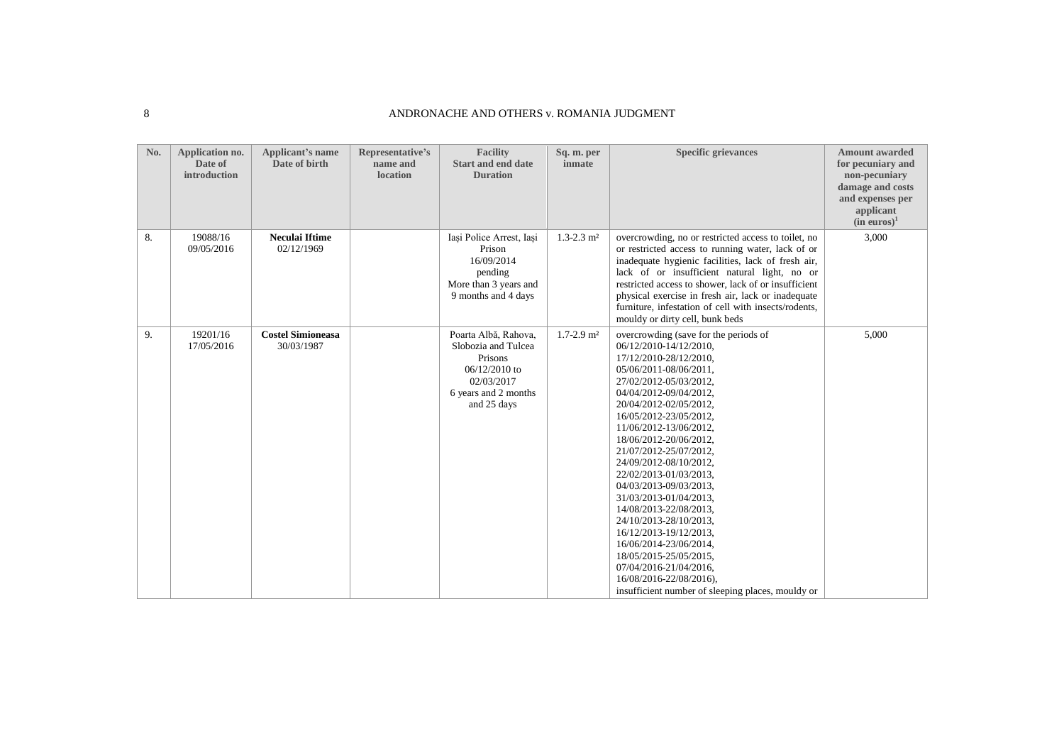#### 8 ANDRONACHE AND OTHERS v. ROMANIA JUDGMENT

| No. | Application no.<br>Date of<br>introduction | Applicant's name<br>Date of birth      | Representative's<br>name and<br><b>location</b> | <b>Facility</b><br>Start and end date<br><b>Duration</b>                                                                       | Sq. m. per<br>inmate       | <b>Specific grievances</b>                                                                                                                                                                                                                                                                                                                                                                                                                                                                                                                                                                                                                                    | <b>Amount awarded</b><br>for pecuniary and<br>non-pecuniary<br>damage and costs<br>and expenses per<br>applicant<br>(in euros) <sup>1</sup> |
|-----|--------------------------------------------|----------------------------------------|-------------------------------------------------|--------------------------------------------------------------------------------------------------------------------------------|----------------------------|---------------------------------------------------------------------------------------------------------------------------------------------------------------------------------------------------------------------------------------------------------------------------------------------------------------------------------------------------------------------------------------------------------------------------------------------------------------------------------------------------------------------------------------------------------------------------------------------------------------------------------------------------------------|---------------------------------------------------------------------------------------------------------------------------------------------|
| 8.  | 19088/16<br>09/05/2016                     | <b>Neculai Iftime</b><br>02/12/1969    |                                                 | Iasi Police Arrest, Iasi<br>Prison<br>16/09/2014<br>pending<br>More than 3 years and<br>9 months and 4 days                    | $1.3 - 2.3$ m <sup>2</sup> | overcrowding, no or restricted access to toilet, no<br>or restricted access to running water, lack of or<br>inadequate hygienic facilities, lack of fresh air,<br>lack of or insufficient natural light, no or<br>restricted access to shower, lack of or insufficient<br>physical exercise in fresh air, lack or inadequate<br>furniture, infestation of cell with insects/rodents,<br>mouldy or dirty cell, bunk beds                                                                                                                                                                                                                                       | 3,000                                                                                                                                       |
| 9.  | 19201/16<br>17/05/2016                     | <b>Costel Simioneasa</b><br>30/03/1987 |                                                 | Poarta Albă, Rahova,<br>Slobozia and Tulcea<br>Prisons<br>$06/12/2010$ to<br>02/03/2017<br>6 years and 2 months<br>and 25 days | $1.7 - 2.9$ m <sup>2</sup> | overcrowding (save for the periods of<br>06/12/2010-14/12/2010,<br>17/12/2010-28/12/2010,<br>05/06/2011-08/06/2011.<br>27/02/2012-05/03/2012,<br>04/04/2012-09/04/2012,<br>20/04/2012-02/05/2012,<br>16/05/2012-23/05/2012,<br>11/06/2012-13/06/2012,<br>18/06/2012-20/06/2012,<br>21/07/2012-25/07/2012,<br>24/09/2012-08/10/2012,<br>22/02/2013-01/03/2013,<br>04/03/2013-09/03/2013,<br>31/03/2013-01/04/2013.<br>14/08/2013-22/08/2013,<br>24/10/2013-28/10/2013,<br>16/12/2013-19/12/2013.<br>16/06/2014-23/06/2014,<br>18/05/2015-25/05/2015,<br>07/04/2016-21/04/2016,<br>16/08/2016-22/08/2016),<br>insufficient number of sleeping places, mouldy or | 5,000                                                                                                                                       |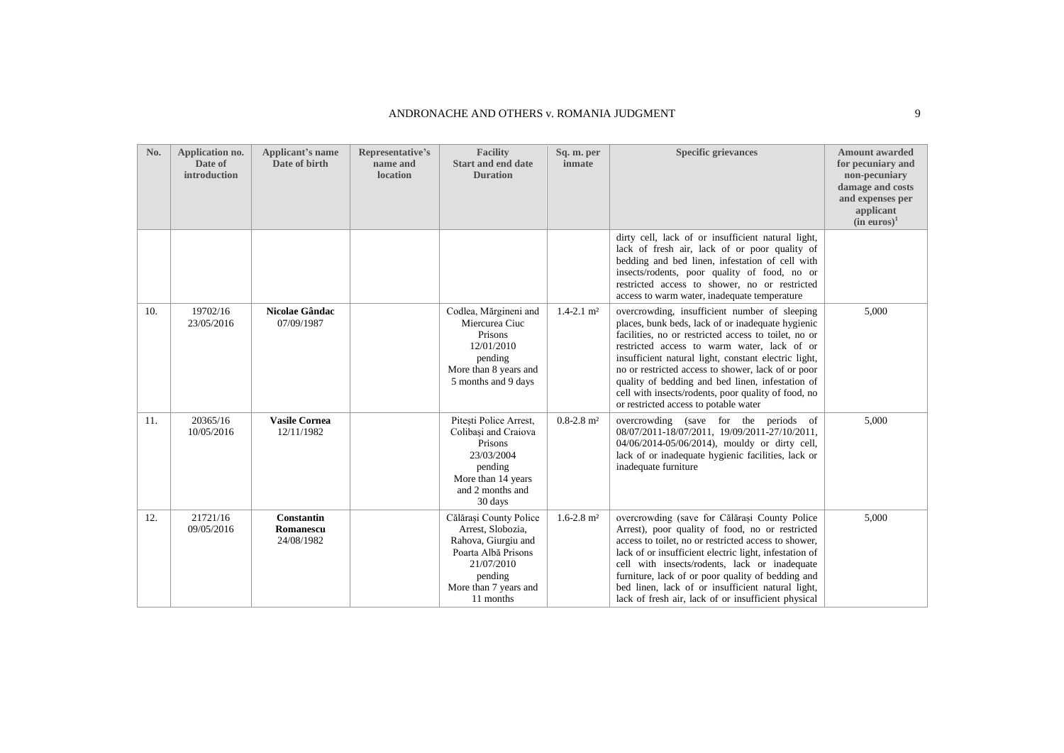| No. | Application no.<br>Date of<br>introduction | Applicant's name<br>Date of birth            | Representative's<br>name and<br>location | <b>Facility</b><br>Start and end date<br><b>Duration</b>                                                                                                 | Sq. m. per<br>inmate       | <b>Specific grievances</b>                                                                                                                                                                                                                                                                                                                                                                                                                                                  | <b>Amount awarded</b><br>for pecuniary and<br>non-pecuniary<br>damage and costs<br>and expenses per<br>applicant<br>(in euros) <sup>1</sup> |
|-----|--------------------------------------------|----------------------------------------------|------------------------------------------|----------------------------------------------------------------------------------------------------------------------------------------------------------|----------------------------|-----------------------------------------------------------------------------------------------------------------------------------------------------------------------------------------------------------------------------------------------------------------------------------------------------------------------------------------------------------------------------------------------------------------------------------------------------------------------------|---------------------------------------------------------------------------------------------------------------------------------------------|
|     |                                            |                                              |                                          |                                                                                                                                                          |                            | dirty cell, lack of or insufficient natural light,<br>lack of fresh air, lack of or poor quality of<br>bedding and bed linen, infestation of cell with<br>insects/rodents, poor quality of food, no or<br>restricted access to shower, no or restricted<br>access to warm water, inadequate temperature                                                                                                                                                                     |                                                                                                                                             |
| 10. | 19702/16<br>23/05/2016                     | Nicolae Gândac<br>07/09/1987                 |                                          | Codlea, Mărgineni and<br>Miercurea Ciuc<br>Prisons<br>12/01/2010<br>pending<br>More than 8 years and<br>5 months and 9 days                              | $1.4 - 2.1$ m <sup>2</sup> | overcrowding, insufficient number of sleeping<br>places, bunk beds, lack of or inadequate hygienic<br>facilities, no or restricted access to toilet, no or<br>restricted access to warm water, lack of or<br>insufficient natural light, constant electric light,<br>no or restricted access to shower, lack of or poor<br>quality of bedding and bed linen, infestation of<br>cell with insects/rodents, poor quality of food, no<br>or restricted access to potable water | 5,000                                                                                                                                       |
| 11. | 20365/16<br>10/05/2016                     | <b>Vasile Cornea</b><br>12/11/1982           |                                          | Pitesti Police Arrest,<br>Colibasi and Craiova<br>Prisons<br>23/03/2004<br>pending<br>More than 14 years<br>and 2 months and<br>30 days                  | $0.8 - 2.8$ m <sup>2</sup> | overcrowding (save for the periods of<br>08/07/2011-18/07/2011, 19/09/2011-27/10/2011,<br>04/06/2014-05/06/2014), mouldy or dirty cell,<br>lack of or inadequate hygienic facilities, lack or<br>inadequate furniture                                                                                                                                                                                                                                                       | 5,000                                                                                                                                       |
| 12. | 21721/16<br>09/05/2016                     | <b>Constantin</b><br>Romanescu<br>24/08/1982 |                                          | Călărasi County Police<br>Arrest, Slobozia,<br>Rahova, Giurgiu and<br>Poarta Albă Prisons<br>21/07/2010<br>pending<br>More than 7 years and<br>11 months | $1.6 - 2.8$ m <sup>2</sup> | overcrowding (save for Călărași County Police<br>Arrest), poor quality of food, no or restricted<br>access to toilet, no or restricted access to shower,<br>lack of or insufficient electric light, infestation of<br>cell with insects/rodents, lack or inadequate<br>furniture, lack of or poor quality of bedding and<br>bed linen, lack of or insufficient natural light,<br>lack of fresh air, lack of or insufficient physical                                        | 5,000                                                                                                                                       |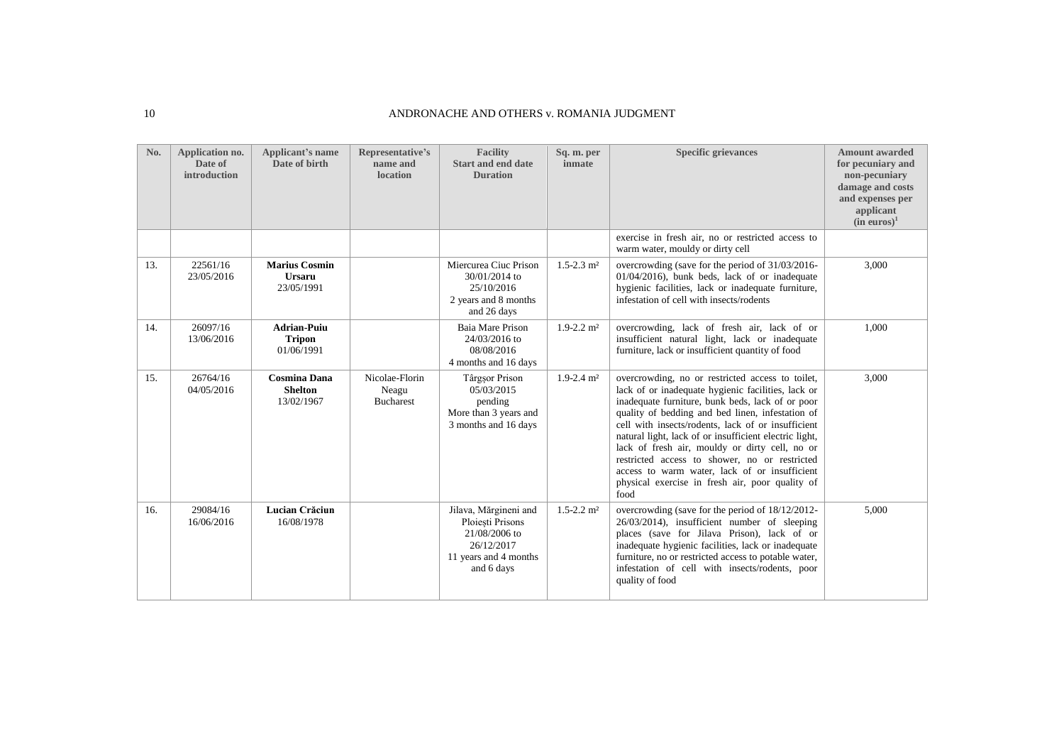#### 10 ANDRONACHE AND OTHERS v. ROMANIA JUDGMENT

| No. | Application no.<br>Date of<br>introduction | Applicant's name<br>Date of birth                   | Representative's<br>name and<br><b>location</b> | <b>Facility</b><br><b>Start and end date</b><br><b>Duration</b>                                                 | Sq. m. per<br>inmate       | <b>Specific grievances</b>                                                                                                                                                                                                                                                                                                                                                                                                                                                                                                                    | <b>Amount awarded</b><br>for pecuniary and<br>non-pecuniary<br>damage and costs<br>and expenses per<br>applicant<br>(in euros) <sup>1</sup> |
|-----|--------------------------------------------|-----------------------------------------------------|-------------------------------------------------|-----------------------------------------------------------------------------------------------------------------|----------------------------|-----------------------------------------------------------------------------------------------------------------------------------------------------------------------------------------------------------------------------------------------------------------------------------------------------------------------------------------------------------------------------------------------------------------------------------------------------------------------------------------------------------------------------------------------|---------------------------------------------------------------------------------------------------------------------------------------------|
|     |                                            |                                                     |                                                 |                                                                                                                 |                            | exercise in fresh air, no or restricted access to<br>warm water, mouldy or dirty cell                                                                                                                                                                                                                                                                                                                                                                                                                                                         |                                                                                                                                             |
| 13. | 22561/16<br>23/05/2016                     | <b>Marius Cosmin</b><br><b>Ursaru</b><br>23/05/1991 |                                                 | Miercurea Ciuc Prison<br>30/01/2014 to<br>25/10/2016<br>2 years and 8 months<br>and 26 days                     | $1.5 - 2.3$ m <sup>2</sup> | overcrowding (save for the period of 31/03/2016-<br>$01/04/2016$ , bunk beds, lack of or inadequate<br>hygienic facilities, lack or inadequate furniture,<br>infestation of cell with insects/rodents                                                                                                                                                                                                                                                                                                                                         | 3,000                                                                                                                                       |
| 14. | 26097/16<br>13/06/2016                     | <b>Adrian-Puiu</b><br><b>Tripon</b><br>01/06/1991   |                                                 | Baia Mare Prison<br>24/03/2016 to<br>08/08/2016<br>4 months and 16 days                                         | $1.9 - 2.2$ m <sup>2</sup> | overcrowding, lack of fresh air, lack of or<br>insufficient natural light, lack or inadequate<br>furniture, lack or insufficient quantity of food                                                                                                                                                                                                                                                                                                                                                                                             | 1,000                                                                                                                                       |
| 15. | 26764/16<br>04/05/2016                     | <b>Cosmina Dana</b><br><b>Shelton</b><br>13/02/1967 | Nicolae-Florin<br>Neagu<br><b>Bucharest</b>     | Târgșor Prison<br>05/03/2015<br>pending<br>More than 3 years and<br>3 months and 16 days                        | $1.9 - 2.4$ m <sup>2</sup> | overcrowding, no or restricted access to toilet,<br>lack of or inadequate hygienic facilities, lack or<br>inadequate furniture, bunk beds, lack of or poor<br>quality of bedding and bed linen, infestation of<br>cell with insects/rodents, lack of or insufficient<br>natural light, lack of or insufficient electric light,<br>lack of fresh air, mouldy or dirty cell, no or<br>restricted access to shower, no or restricted<br>access to warm water, lack of or insufficient<br>physical exercise in fresh air, poor quality of<br>food | 3,000                                                                                                                                       |
| 16. | 29084/16<br>16/06/2016                     | Lucian Crăciun<br>16/08/1978                        |                                                 | Jilava, Mărgineni and<br>Ploiesti Prisons<br>21/08/2006 to<br>26/12/2017<br>11 years and 4 months<br>and 6 days | $1.5 - 2.2$ m <sup>2</sup> | overcrowding (save for the period of 18/12/2012-<br>26/03/2014), insufficient number of sleeping<br>places (save for Jilava Prison), lack of or<br>inadequate hygienic facilities, lack or inadequate<br>furniture, no or restricted access to potable water,<br>infestation of cell with insects/rodents, poor<br>quality of food                                                                                                                                                                                                            | 5.000                                                                                                                                       |